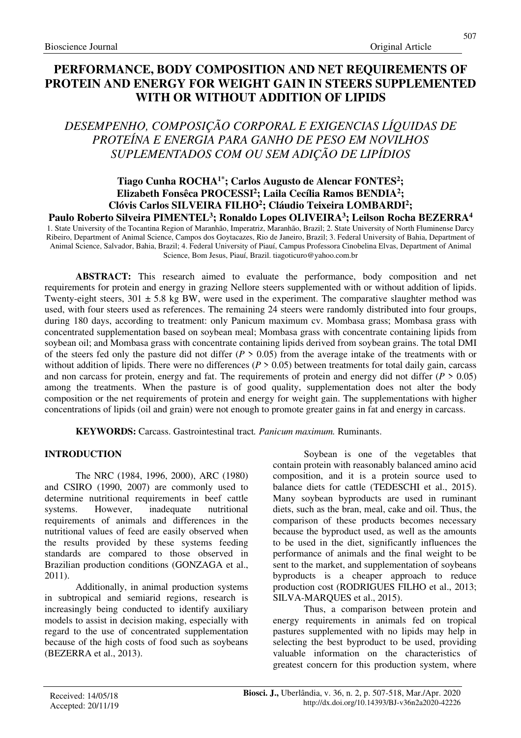# **PERFORMANCE, BODY COMPOSITION AND NET REQUIREMENTS OF PROTEIN AND ENERGY FOR WEIGHT GAIN IN STEERS SUPPLEMENTED WITH OR WITHOUT ADDITION OF LIPIDS**

# *DESEMPENHO, COMPOSIÇÃO CORPORAL E EXIGENCIAS LÍQUIDAS DE PROTEÍNA E ENERGIA PARA GANHO DE PESO EM NOVILHOS SUPLEMENTADOS COM OU SEM ADIÇÃO DE LIPÍDIOS*

# **Tiago Cunha ROCHA1\*; Carlos Augusto de Alencar FONTES<sup>2</sup> ; Elizabeth Fonsêca PROCESSI<sup>2</sup> ; Laila Cecília Ramos BENDIA<sup>2</sup> ; Clóvis Carlos SILVEIRA FILHO<sup>2</sup> ; Cláudio Teixeira LOMBARDI<sup>2</sup> ; Paulo Roberto Silveira PIMENTEL<sup>3</sup> ; Ronaldo Lopes OLIVEIRA<sup>3</sup> ; Leilson Rocha BEZERRA<sup>4</sup>**

1. State University of the Tocantina Region of Maranhão, Imperatriz, Maranhão, Brazil; 2. State University of North Fluminense Darcy Ribeiro, Department of Animal Science, Campos dos Goytacazes, Rio de Janeiro, Brazil; 3. Federal University of Bahia, Department of Animal Science, Salvador, Bahia, Brazil; 4. Federal University of Piauí, Campus Professora Cinobelina Elvas, Department of Animal Science, Bom Jesus, Piauí, Brazil. tiagoticuro@yahoo.com.br

**ABSTRACT:** This research aimed to evaluate the performance, body composition and net requirements for protein and energy in grazing Nellore steers supplemented with or without addition of lipids. Twenty-eight steers,  $301 \pm 5.8$  kg BW, were used in the experiment. The comparative slaughter method was used, with four steers used as references. The remaining 24 steers were randomly distributed into four groups, during 180 days, according to treatment: only Panicum maximum cv. Mombasa grass; Mombasa grass with concentrated supplementation based on soybean meal; Mombasa grass with concentrate containing lipids from soybean oil; and Mombasa grass with concentrate containing lipids derived from soybean grains. The total DMI of the steers fed only the pasture did not differ (*P* > 0.05) from the average intake of the treatments with or without addition of lipids. There were no differences ( $P > 0.05$ ) between treatments for total daily gain, carcass and non carcass for protein, energy and fat. The requirements of protein and energy did not differ  $(P > 0.05)$ among the treatments. When the pasture is of good quality, supplementation does not alter the body composition or the net requirements of protein and energy for weight gain. The supplementations with higher concentrations of lipids (oil and grain) were not enough to promote greater gains in fat and energy in carcass.

**KEYWORDS:** Carcass. Gastrointestinal tract*. Panicum maximum.* Ruminants.

# **INTRODUCTION**

The NRC (1984, 1996, 2000), ARC (1980) and CSIRO (1990, 2007) are commonly used to determine nutritional requirements in beef cattle systems. However, inadequate nutritional requirements of animals and differences in the nutritional values of feed are easily observed when the results provided by these systems feeding standards are compared to those observed in Brazilian production conditions (GONZAGA et al., 2011).

Additionally, in animal production systems in subtropical and semiarid regions, research is increasingly being conducted to identify auxiliary models to assist in decision making, especially with regard to the use of concentrated supplementation because of the high costs of food such as soybeans (BEZERRA et al., 2013).

Soybean is one of the vegetables that contain protein with reasonably balanced amino acid composition, and it is a protein source used to balance diets for cattle (TEDESCHI et al., 2015). Many soybean byproducts are used in ruminant diets, such as the bran, meal, cake and oil. Thus, the comparison of these products becomes necessary because the byproduct used, as well as the amounts to be used in the diet, significantly influences the performance of animals and the final weight to be sent to the market, and supplementation of soybeans byproducts is a cheaper approach to reduce production cost (RODRIGUES FILHO et al., 2013; SILVA-MARQUES et al., 2015).

Thus, a comparison between protein and energy requirements in animals fed on tropical pastures supplemented with no lipids may help in selecting the best byproduct to be used, providing valuable information on the characteristics of greatest concern for this production system, where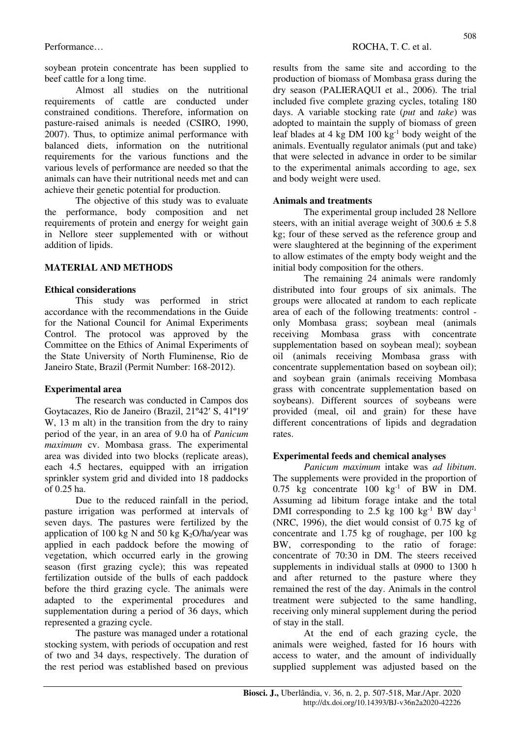soybean protein concentrate has been supplied to beef cattle for a long time.

Almost all studies on the nutritional requirements of cattle are conducted under constrained conditions. Therefore, information on pasture-raised animals is needed (CSIRO, 1990, 2007). Thus, to optimize animal performance with balanced diets, information on the nutritional requirements for the various functions and the various levels of performance are needed so that the animals can have their nutritional needs met and can achieve their genetic potential for production.

The objective of this study was to evaluate the performance, body composition and net requirements of protein and energy for weight gain in Nellore steer supplemented with or without addition of lipids.

# **MATERIAL AND METHODS**

### **Ethical considerations**

This study was performed in strict accordance with the recommendations in the Guide for the National Council for Animal Experiments Control. The protocol was approved by the Committee on the Ethics of Animal Experiments of the State University of North Fluminense, Rio de Janeiro State, Brazil (Permit Number: 168-2012).

## **Experimental area**

The research was conducted in Campos dos Goytacazes, Rio de Janeiro (Brazil, 21º42′ S, 41º19′ W, 13 m alt) in the transition from the dry to rainy period of the year, in an area of 9.0 ha of *Panicum maximum* cv. Mombasa grass. The experimental area was divided into two blocks (replicate areas), each 4.5 hectares, equipped with an irrigation sprinkler system grid and divided into 18 paddocks of 0.25 ha.

Due to the reduced rainfall in the period, pasture irrigation was performed at intervals of seven days. The pastures were fertilized by the application of 100 kg N and 50 kg  $K_2O/ha/year$  was applied in each paddock before the mowing of vegetation, which occurred early in the growing season (first grazing cycle); this was repeated fertilization outside of the bulls of each paddock before the third grazing cycle. The animals were adapted to the experimental procedures and supplementation during a period of 36 days, which represented a grazing cycle.

The pasture was managed under a rotational stocking system, with periods of occupation and rest of two and 34 days, respectively. The duration of the rest period was established based on previous results from the same site and according to the production of biomass of Mombasa grass during the dry season (PALIERAQUI et al., 2006). The trial included five complete grazing cycles, totaling 180 days. A variable stocking rate (*put* and *take*) was adopted to maintain the supply of biomass of green leaf blades at 4 kg DM  $100 \text{ kg}^{-1}$  body weight of the animals. Eventually regulator animals (put and take) that were selected in advance in order to be similar to the experimental animals according to age, sex and body weight were used.

### **Animals and treatments**

The experimental group included 28 Nellore steers, with an initial average weight of  $300.6 \pm 5.8$ kg; four of these served as the reference group and were slaughtered at the beginning of the experiment to allow estimates of the empty body weight and the initial body composition for the others.

The remaining 24 animals were randomly distributed into four groups of six animals. The groups were allocated at random to each replicate area of each of the following treatments: control only Mombasa grass; soybean meal (animals receiving Mombasa grass with concentrate supplementation based on soybean meal); soybean oil (animals receiving Mombasa grass with concentrate supplementation based on soybean oil); and soybean grain (animals receiving Mombasa grass with concentrate supplementation based on soybeans). Different sources of soybeans were provided (meal, oil and grain) for these have different concentrations of lipids and degradation rates.

## **Experimental feeds and chemical analyses**

*Panicum maximum* intake was *ad libitum*. The supplements were provided in the proportion of  $0.75$  kg concentrate  $100 \text{ kg}^{-1}$  of BW in DM. Assuming ad libitum forage intake and the total DMI corresponding to 2.5 kg  $100 \text{ kg}^{-1}$  BW day<sup>-1</sup> (NRC, 1996), the diet would consist of 0.75 kg of concentrate and 1.75 kg of roughage, per 100 kg BW, corresponding to the ratio of forage: concentrate of 70:30 in DM. The steers received supplements in individual stalls at 0900 to 1300 h and after returned to the pasture where they remained the rest of the day. Animals in the control treatment were subjected to the same handling, receiving only mineral supplement during the period of stay in the stall.

At the end of each grazing cycle, the animals were weighed, fasted for 16 hours with access to water, and the amount of individually supplied supplement was adjusted based on the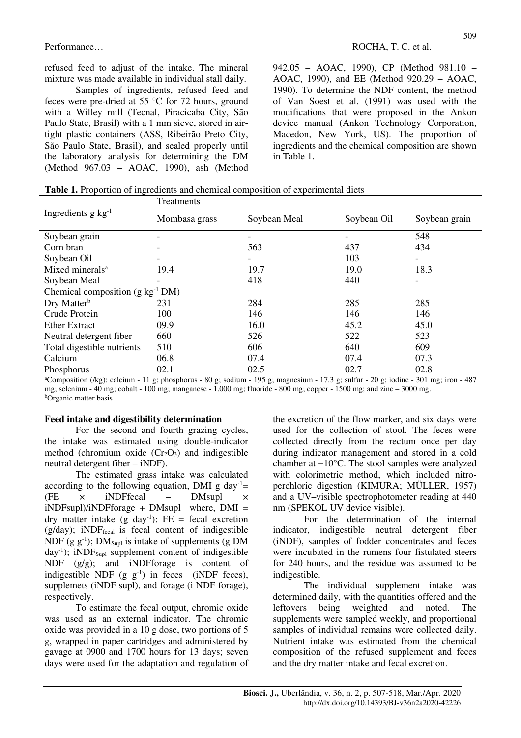refused feed to adjust of the intake. The mineral mixture was made available in individual stall daily.

Samples of ingredients, refused feed and feces were pre-dried at 55 °C for 72 hours, ground with a Willey mill (Tecnal, Piracicaba City, São Paulo State, Brasil) with a 1 mm sieve, stored in airtight plastic containers (ASS, Ribeirão Preto City, São Paulo State, Brasil), and sealed properly until the laboratory analysis for determining the DM (Method 967.03 – AOAC, 1990), ash (Method 942.05 – AOAC, 1990), CP (Method 981.10 – AOAC, 1990), and EE (Method 920.29 – AOAC, 1990). To determine the NDF content, the method of Van Soest et al. (1991) was used with the modifications that were proposed in the Ankon device manual (Ankon Technology Corporation, Macedon, New York, US). The proportion of ingredients and the chemical composition are shown in Table 1.

|  |  |  |  | <b>Table 1.</b> Proportion of ingredients and chemical composition of experimental diets |  |
|--|--|--|--|------------------------------------------------------------------------------------------|--|
|--|--|--|--|------------------------------------------------------------------------------------------|--|

|                                         | Treatments    |              |             |               |  |  |  |  |  |
|-----------------------------------------|---------------|--------------|-------------|---------------|--|--|--|--|--|
| Ingredients $g \text{ kg}^{-1}$         | Mombasa grass | Soybean Meal | Soybean Oil | Soybean grain |  |  |  |  |  |
| Soybean grain                           |               |              |             | 548           |  |  |  |  |  |
| Corn bran                               |               | 563          | 437         | 434           |  |  |  |  |  |
| Soybean Oil                             |               |              | 103         |               |  |  |  |  |  |
| Mixed minerals <sup>a</sup>             | 19.4          | 19.7         | 19.0        | 18.3          |  |  |  |  |  |
| Soybean Meal                            |               | 418          | 440         |               |  |  |  |  |  |
| Chemical composition ( $g kg^{-1} DM$ ) |               |              |             |               |  |  |  |  |  |
| Dry Matter <sup>b</sup>                 | 231           | 284          | 285         | 285           |  |  |  |  |  |
| Crude Protein                           | 100           | 146          | 146         | 146           |  |  |  |  |  |
| <b>Ether Extract</b>                    | 09.9          | 16.0         | 45.2        | 45.0          |  |  |  |  |  |
| Neutral detergent fiber                 | 660           | 526          | 522         | 523           |  |  |  |  |  |
| Total digestible nutrients              | 510           | 606          | 640         | 609           |  |  |  |  |  |
| Calcium                                 | 06.8          | 07.4         | 07.4        | 07.3          |  |  |  |  |  |
| Phosphorus                              | 02.1          | 02.5         | 02.7        | 02.8          |  |  |  |  |  |

<sup>a</sup>Composition (/kg): calcium - 11 g; phosphorus - 80 g; sodium - 195 g; magnesium - 17.3 g; sulfur - 20 g; iodine - 301 mg; iron - 487 mg; selenium - 40 mg; cobalt - 100 mg; manganese - 1.000 mg; fluoride - 800 mg; copper - 1500 mg; and zinc – 3000 mg. <sup>b</sup>Organic matter basis

#### **Feed intake and digestibility determination**

For the second and fourth grazing cycles, the intake was estimated using double-indicator method (chromium oxide  $(Cr_2O_3)$  and indigestible neutral detergent fiber – iNDF).

The estimated grass intake was calculated according to the following equation, DMI g day<sup>-1</sup>=  $(FE \times iNDFfecal \ - \ DMsun \times$  $iNDF<sub>sup</sub>)/iNDF<sub>forage</sub> + DM<sub>sup</sub>$  where,  $DMI =$ dry matter intake  $(g \text{ day}^{-1})$ ; FE = fecal excretion (g/day); iNDF<sub>fecal</sub> is fecal content of indigestible NDF (g  $g^{-1}$ ); DM<sub>Supl</sub> is intake of supplements (g DM  $day^{-1}$ ); iNDF<sub>Supl</sub> supplement content of indigestible NDF (g/g); and iNDFforage is content of indigestible NDF  $(g g^{-1})$  in feces (iNDF feces), supplemets (iNDF supl), and forage (i NDF forage), respectively.

To estimate the fecal output, chromic oxide was used as an external indicator. The chromic oxide was provided in a 10 g dose, two portions of 5 g, wrapped in paper cartridges and administered by gavage at 0900 and 1700 hours for 13 days; seven days were used for the adaptation and regulation of the excretion of the flow marker, and six days were used for the collection of stool. The feces were collected directly from the rectum once per day during indicator management and stored in a cold chamber at −10°C. The stool samples were analyzed with colorimetric method, which included nitroperchloric digestion (KIMURA; MÜLLER, 1957) and a UV–visible spectrophotometer reading at 440 nm (SPEKOL UV device visible).

For the determination of the internal indicator, indigestible neutral detergent fiber (iNDF), samples of fodder concentrates and feces were incubated in the rumens four fistulated steers for 240 hours, and the residue was assumed to be indigestible.

The individual supplement intake was determined daily, with the quantities offered and the leftovers being weighted and noted. The supplements were sampled weekly, and proportional samples of individual remains were collected daily. Nutrient intake was estimated from the chemical composition of the refused supplement and feces and the dry matter intake and fecal excretion.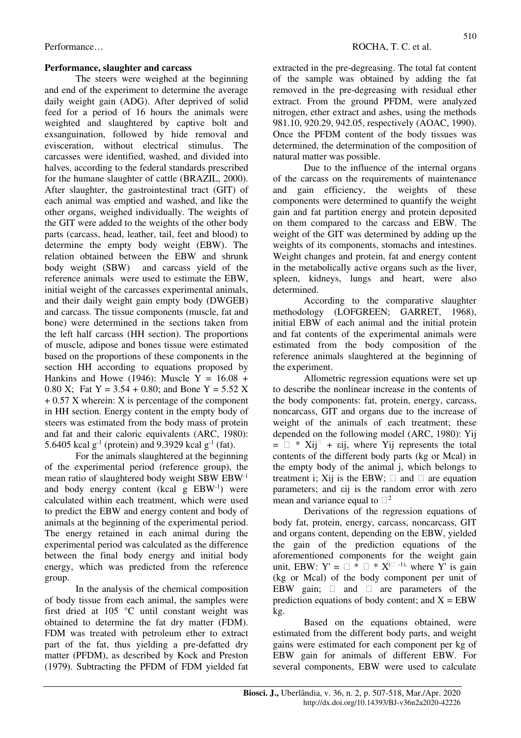## **Performance, slaughter and carcass**

The steers were weighed at the beginning and end of the experiment to determine the average daily weight gain (ADG). After deprived of solid feed for a period of 16 hours the animals were weighted and slaughtered by captive bolt and exsanguination, followed by hide removal and evisceration, without electrical stimulus. The carcasses were identified, washed, and divided into halves, according to the federal standards prescribed for the humane slaughter of cattle (BRAZIL, 2000). After slaughter, the gastrointestinal tract (GIT) of each animal was emptied and washed, and like the other organs, weighed individually. The weights of the GIT were added to the weights of the other body parts (carcass, head, leather, tail, feet and blood) to determine the empty body weight (EBW). The relation obtained between the EBW and shrunk body weight (SBW) and carcass yield of the reference animals were used to estimate the EBW, initial weight of the carcasses experimental animals, and their daily weight gain empty body (DWGEB) and carcass. The tissue components (muscle, fat and bone) were determined in the sections taken from the left half carcass (HH section). The proportions of muscle, adipose and bones tissue were estimated based on the proportions of these components in the section HH according to equations proposed by Hankins and Howe (1946): Muscle  $Y = 16.08 +$ 0.80 X; Fat  $Y = 3.54 + 0.80$ ; and Bone  $Y = 5.52$  X + 0.57 X wherein: X is percentage of the component in HH section. Energy content in the empty body of steers was estimated from the body mass of protein and fat and their caloric equivalents (ARC, 1980): 5.6405 kcal  $g^{-1}$  (protein) and 9.3929 kcal  $g^{-1}$  (fat).

For the animals slaughtered at the beginning of the experimental period (reference group), the mean ratio of slaughtered body weight SBW EBW-1 and body energy content (kcal g EBW-1) were calculated within each treatment, which were used to predict the EBW and energy content and body of animals at the beginning of the experimental period. The energy retained in each animal during the experimental period was calculated as the difference between the final body energy and initial body energy, which was predicted from the reference group.

In the analysis of the chemical composition of body tissue from each animal, the samples were first dried at 105 °C until constant weight was obtained to determine the fat dry matter (FDM). FDM was treated with petroleum ether to extract part of the fat, thus yielding a pre-defatted dry matter (PFDM), as described by Kock and Preston (1979). Subtracting the PFDM of FDM yielded fat

extracted in the pre-degreasing. The total fat content of the sample was obtained by adding the fat removed in the pre-degreasing with residual ether extract. From the ground PFDM, were analyzed nitrogen, ether extract and ashes, using the methods 981.10, 920.29, 942.05, respectively (AOAC, 1990). Once the PFDM content of the body tissues was determined, the determination of the composition of natural matter was possible.

Due to the influence of the internal organs of the carcass on the requirements of maintenance and gain efficiency, the weights of these components were determined to quantify the weight gain and fat partition energy and protein deposited on them compared to the carcass and EBW. The weight of the GIT was determined by adding up the weights of its components, stomachs and intestines. Weight changes and protein, fat and energy content in the metabolically active organs such as the liver, spleen, kidneys, lungs and heart, were also determined.

According to the comparative slaughter methodology (LOFGREEN; GARRET, 1968), initial EBW of each animal and the initial protein and fat contents of the experimental animals were estimated from the body composition of the reference animals slaughtered at the beginning of the experiment.

Allometric regression equations were set up to describe the nonlinear increase in the contents of the body components: fat, protein, energy, carcass, noncarcass, GIT and organs due to the increase of weight of the animals of each treatment; these depended on the following model (ARC, 1980): Yij  $=$   $\Box$  \* Xij<sup> $\Box$ </sup> + εij, where Yij represents the total contents of the different body parts (kg or Mcal) in the empty body of the animal j, which belongs to treatment i; Xij is the EBW;  $\Box$  and  $\Box$  are equation parameters; and εij is the random error with zero mean and variance equal to  $\Box^2$ 

Derivations of the regression equations of body fat, protein, energy, carcass, noncarcass, GIT and organs content, depending on the EBW, yielded the gain of the prediction equations of the aforementioned components for the weight gain unit, EBW:  $Y' = \Box * \Box * X^{(\Box -1)}$ , where Y' is gain (kg or Mcal) of the body component per unit of EBW gain;  $\Box$  and  $\Box$  are parameters of the prediction equations of body content; and  $X = EBW$ kg.

Based on the equations obtained, were estimated from the different body parts, and weight gains were estimated for each component per kg of EBW gain for animals of different EBW. For several components, EBW were used to calculate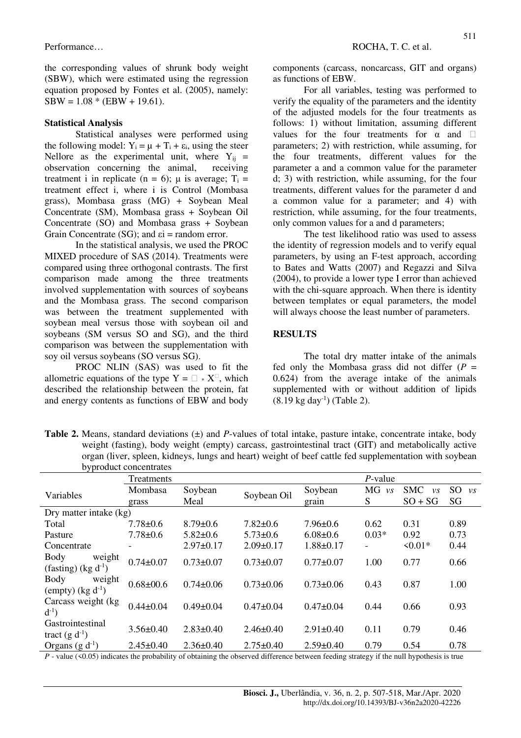the corresponding values of shrunk body weight (SBW), which were estimated using the regression equation proposed by Fontes et al. (2005), namely:  $SBW = 1.08 * (EBW + 19.61).$ 

#### **Statistical Analysis**

Statistical analyses were performed using the following model:  $Y_i = \mu + T_i + \varepsilon_i$ , using the steer Nellore as the experimental unit, where  $Y_{ii}$  = observation concerning the animal, receiving treatment i in replicate (n = 6);  $\mu$  is average; T<sub>i</sub> = treatment effect i, where i is Control (Mombasa grass), Mombasa grass (MG) + Soybean Meal Concentrate (SM), Mombasa grass + Soybean Oil Concentrate (SO) and Mombasa grass + Soybean Grain Concentrate  $(SG)$ ; and  $\varepsilon i$  = random error.

In the statistical analysis, we used the PROC MIXED procedure of SAS (2014). Treatments were compared using three orthogonal contrasts. The first comparison made among the three treatments involved supplementation with sources of soybeans and the Mombasa grass. The second comparison was between the treatment supplemented with soybean meal versus those with soybean oil and soybeans (SM versus SO and SG), and the third comparison was between the supplementation with soy oil versus soybeans (SO versus SG).

PROC NLIN (SAS) was used to fit the allometric equations of the type  $Y = \Box * X^{\Box}$ , which described the relationship between the protein, fat and energy contents as functions of EBW and body components (carcass, noncarcass, GIT and organs) as functions of EBW.

For all variables, testing was performed to verify the equality of the parameters and the identity of the adjusted models for the four treatments as follows: 1) without limitation, assuming different values for the four treatments for  $\alpha$  and  $\Box$ parameters; 2) with restriction, while assuming, for the four treatments, different values for the parameter a and a common value for the parameter d; 3) with restriction, while assuming, for the four treatments, different values for the parameter d and a common value for a parameter; and 4) with restriction, while assuming, for the four treatments, only common values for a and d parameters;

The test likelihood ratio was used to assess the identity of regression models and to verify equal parameters, by using an F-test approach, according to Bates and Watts (2007) and Regazzi and Silva (2004), to provide a lower type I error than achieved with the chi-square approach. When there is identity between templates or equal parameters, the model will always choose the least number of parameters.

#### **RESULTS**

The total dry matter intake of the animals fed only the Mombasa grass did not differ  $(P =$ 0.624) from the average intake of the animals supplemented with or without addition of lipids  $(8.19 \text{ kg day}^{-1})$  (Table 2).

**Table 2.** Means, standard deviations (±) and *P*-values of total intake, pasture intake, concentrate intake, body weight (fasting), body weight (empty) carcass, gastrointestinal tract (GIT) and metabolically active organ (liver, spleen, kidneys, lungs and heart) weight of beef cattle fed supplementation with soybean byproduct concentrates

| v, p.                                          |                 |                 |                 |                 |                          |                       |                |  |
|------------------------------------------------|-----------------|-----------------|-----------------|-----------------|--------------------------|-----------------------|----------------|--|
|                                                | Treatments      |                 |                 |                 | $P$ -value               |                       |                |  |
| Variables                                      | Mombasa         | Soybean         | Soybean Oil     | Soybean         | MG<br>$\overline{\nu}$ s | <b>SMC</b><br>$\nu s$ | SO.<br>$\nu s$ |  |
|                                                | grass           | Meal            |                 | grain           | S                        | $SO + SG$             | SG             |  |
| Dry matter intake (kg)                         |                 |                 |                 |                 |                          |                       |                |  |
| Total                                          | $7.78 \pm 0.6$  | $8.79 \pm 0.6$  | $7.82 \pm 0.6$  | $7.96 \pm 0.6$  | 0.62                     | 0.31                  | 0.89           |  |
| Pasture                                        | $7.78 \pm 0.6$  | $5.82 \pm 0.6$  | $5.73 \pm 0.6$  | $6.08 \pm 0.6$  | $0.03*$                  | 0.92                  | 0.73           |  |
| Concentrate                                    |                 | $2.97 \pm 0.17$ | $2.09 \pm 0.17$ | $1.88 \pm 0.17$ |                          | $50.01*$              | 0.44           |  |
| Body<br>weight<br>(fasting) $(kg d^{-1})$      | $0.74 \pm 0.07$ | $0.73 \pm 0.07$ | $0.73 \pm 0.07$ | $0.77 \pm 0.07$ | 1.00                     | 0.77                  | 0.66           |  |
| <b>Body</b><br>weight<br>(empty) $(kg d^{-1})$ | $0.68 \pm 00.6$ | $0.74 \pm 0.06$ | $0.73 \pm 0.06$ | $0.73 \pm 0.06$ | 0.43                     | 0.87                  | 1.00           |  |
| Carcass weight (kg<br>$d^{-1}$ )               | $0.44 \pm 0.04$ | $0.49 \pm 0.04$ | $0.47 \pm 0.04$ | $0.47 \pm 0.04$ | 0.44                     | 0.66                  | 0.93           |  |
| Gastrointestinal<br>tract $(g d^{-1})$         | $3.56 \pm 0.40$ | $2.83 \pm 0.40$ | $2.46 \pm 0.40$ | $2.91 \pm 0.40$ | 0.11                     | 0.79                  | 0.46           |  |
| Organs $(g d^{-1})$                            | $2.45 \pm 0.40$ | $2.36 \pm 0.40$ | $2.75 \pm 0.40$ | $2.59 \pm 0.40$ | 0.79                     | 0.54                  | 0.78           |  |

*P* - value (<0.05) indicates the probability of obtaining the observed difference between feeding strategy if the null hypothesis is true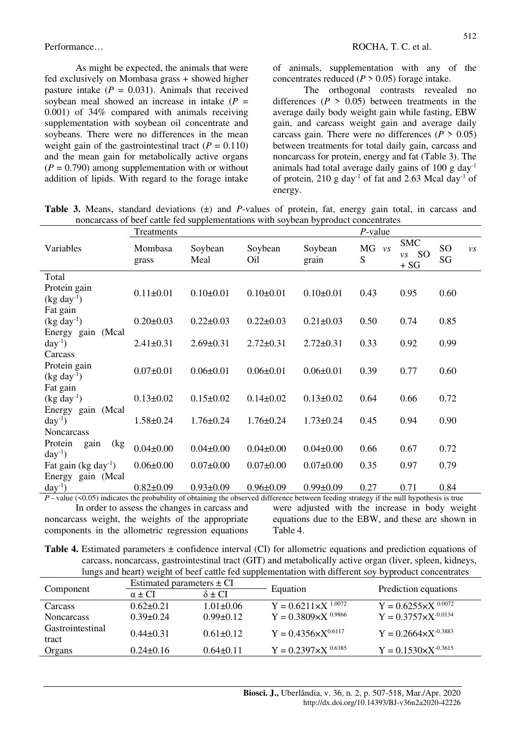As might be expected, the animals that were fed exclusively on Mombasa grass + showed higher pasture intake  $(P = 0.031)$ . Animals that received soybean meal showed an increase in intake  $(P =$ 0.001) of 34% compared with animals receiving supplementation with soybean oil concentrate and soybeans. There were no differences in the mean weight gain of the gastrointestinal tract  $(P = 0.110)$ and the mean gain for metabolically active organs  $(P = 0.790)$  among supplementation with or without addition of lipids. With regard to the forage intake of animals, supplementation with any of the concentrates reduced  $(P > 0.05)$  forage intake.

The orthogonal contrasts revealed no differences  $(P > 0.05)$  between treatments in the average daily body weight gain while fasting, EBW gain, and carcass weight gain and average daily carcass gain. There were no differences  $(P > 0.05)$ between treatments for total daily gain, carcass and noncarcass for protein, energy and fat (Table 3). The animals had total average daily gains of 100 g day-1 of protein, 210 g day<sup>-1</sup> of fat and 2.63 Mcal day<sup>-1</sup> of energy.

**Table 3.** Means, standard deviations (±) and *P*-values of protein, fat, energy gain total, in carcass and noncarcass of beef cattle fed supplementations with soybean byproduct concentrates

|                                                      | Treatments       |                 |                 |                  | $P$ -value     |                                                            |                       |         |
|------------------------------------------------------|------------------|-----------------|-----------------|------------------|----------------|------------------------------------------------------------|-----------------------|---------|
| Variables                                            | Mombasa<br>grass | Soybean<br>Meal | Soybean<br>Oil  | Soybean<br>grain | $MG$ $vs$<br>S | <b>SMC</b><br><sub>SO</sub><br>$\overline{\nu}$ s<br>$+SG$ | SO <sub>1</sub><br>SG | $\nu s$ |
| Total                                                |                  |                 |                 |                  |                |                                                            |                       |         |
| Protein gain<br>$(kg day-1)$                         | $0.11 \pm 0.01$  | $0.10 \pm 0.01$ | $0.10 \pm 0.01$ | $0.10 \pm 0.01$  | 0.43           | 0.95                                                       | 0.60                  |         |
| Fat gain                                             |                  |                 |                 |                  |                |                                                            |                       |         |
| $(kg day-1)$                                         | $0.20 \pm 0.03$  | $0.22 \pm 0.03$ | $0.22 \pm 0.03$ | $0.21 \pm 0.03$  | 0.50           | 0.74                                                       | 0.85                  |         |
| Energy gain (Mcal<br>$day^{-1}$ )<br>Carcass         | $2.41 \pm 0.31$  | $2.69 \pm 0.31$ | $2.72 \pm 0.31$ | $2.72 \pm 0.31$  | 0.33           | 0.92                                                       | 0.99                  |         |
| Protein gain<br>$(kg day-1)$                         | $0.07 \pm 0.01$  | $0.06 \pm 0.01$ | $0.06 \pm 0.01$ | $0.06 \pm 0.01$  | 0.39           | 0.77                                                       | 0.60                  |         |
| Fat gain<br>$(kg day-1)$                             | $0.13 \pm 0.02$  | $0.15 \pm 0.02$ | $0.14 \pm 0.02$ | $0.13 \pm 0.02$  | 0.64           | 0.66                                                       | 0.72                  |         |
| Energy gain (Mcal<br>$day^{-1}$<br><b>Noncarcass</b> | $1.58 \pm 0.24$  | $1.76 \pm 0.24$ | $1.76 \pm 0.24$ | $1.73 \pm 0.24$  | 0.45           | 0.94                                                       | 0.90                  |         |
| Protein<br>(kg<br>gain<br>$day^{-1}$                 | $0.04 \pm 0.00$  | $0.04 \pm 0.00$ | $0.04 \pm 0.00$ | $0.04 \pm 0.00$  | 0.66           | 0.67                                                       | 0.72                  |         |
| Fat gain (kg day <sup>-1</sup> )                     | $0.06 \pm 0.00$  | $0.07 \pm 0.00$ | $0.07 \pm 0.00$ | $0.07 \pm 0.00$  | 0.35           | 0.97                                                       | 0.79                  |         |
| Energy gain (Mcal<br>$day^{-1}$                      | $0.82 \pm 0.09$  | $0.93 \pm 0.09$ | $0.96 \pm 0.09$ | $0.99 \pm 0.09$  | 0.27           | 0.71                                                       | 0.84                  |         |
|                                                      |                  |                 |                 |                  |                |                                                            |                       |         |

 $P$  - value (<0.05) indicates the probability of obtaining the observed difference between feeding strategy if the null hypothesis is true In order to assess the changes in carcass and noncarcass weight, the weights of the appropriate components in the allometric regression equations

were adjusted with the increase in body weight equations due to the EBW, and these are shown in Table 4.

**Table 4.** Estimated parameters ± confidence interval (CI) for allometric equations and prediction equations of carcass, noncarcass, gastrointestinal tract (GIT) and metabolically active organ (liver, spleen, kidneys, lungs and heart) weight of beef cattle fed supplementation with different soy byproduct concentrates

|                           | Estimated parameters $\pm$ CI  |                 |                                |                                 |  |
|---------------------------|--------------------------------|-----------------|--------------------------------|---------------------------------|--|
| Component                 | $\alpha$ + CI<br>$\delta$ + CI |                 | Equation                       | Prediction equations            |  |
| <b>Carcass</b>            | $0.62 + 0.21$                  | $1.01 \pm 0.06$ | $Y = 0.6211 \times X^{1.0072}$ | $Y = 0.6255 \times X^{0.0072}$  |  |
| <b>Noncarcass</b>         | $0.39 \pm 0.24$                | $0.99 \pm 0.12$ | $Y = 0.3809 \times X^{0.9866}$ | $Y = 0.3757 \times X^{-0.0134}$ |  |
| Gastrointestinal<br>tract | $0.44 + 0.31$                  | $0.61 \pm 0.12$ | $Y = 0.4356 \times X^{0.6117}$ | $Y = 0.2664 \times X^{-0.3883}$ |  |
| Organs                    | $0.24 \pm 0.16$                | $0.64\pm0.11$   | $Y = 0.2397 \times X^{0.6385}$ | $Y = 0.1530 \times X^{-0.3615}$ |  |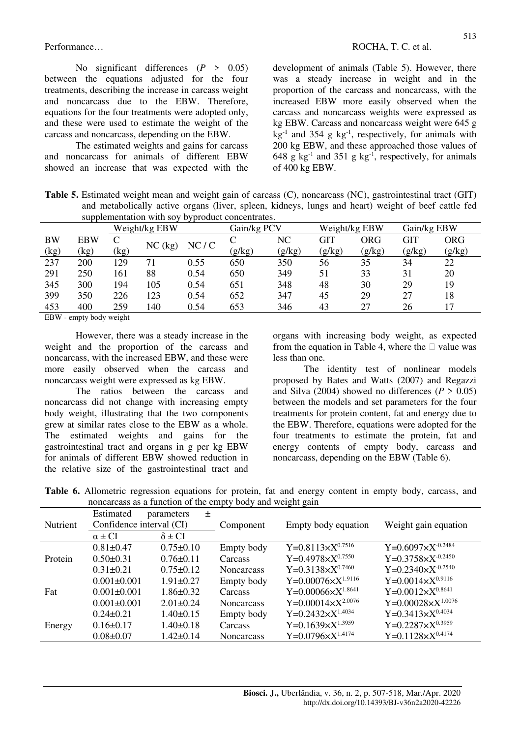No significant differences (*P* > 0.05) between the equations adjusted for the four treatments, describing the increase in carcass weight and noncarcass due to the EBW. Therefore, equations for the four treatments were adopted only, and these were used to estimate the weight of the carcass and noncarcass, depending on the EBW.

The estimated weights and gains for carcass and noncarcass for animals of different EBW showed an increase that was expected with the development of animals (Table 5). However, there was a steady increase in weight and in the proportion of the carcass and noncarcass, with the increased EBW more easily observed when the carcass and noncarcass weights were expressed as kg EBW. Carcass and noncarcass weight were 645 g  $kg^{-1}$  and 354 g kg<sup>-1</sup>, respectively, for animals with 200 kg EBW, and these approached those values of 648 g  $kg^{-1}$  and 351 g  $kg^{-1}$ , respectively, for animals of 400 kg EBW.

**Table 5.** Estimated weight mean and weight gain of carcass (C), noncarcass (NC), gastrointestinal tract (GIT) and metabolically active organs (liver, spleen, kidneys, lungs and heart) weight of beef cattle fed supplementation with soy byproduct concentrates.

|               | $\frac{1}{2}$ |          |        |      |             |        |               |             |        |            |
|---------------|---------------|----------|--------|------|-------------|--------|---------------|-------------|--------|------------|
| Weight/kg EBW |               |          |        |      | Gain/kg PCV |        | Weight/kg EBW | Gain/kg EBW |        |            |
| <b>BW</b>     | <b>EBW</b>    |          |        |      |             | NC     | GIT           | ORG         | GIT    | <b>ORG</b> |
| (kg)          | (kg)          | (kg      | NC(kg) | NC/C | (g/kg)      | (g/kg) | (g/kg)        | (g/kg)      | (g/kg) | (g/kg)     |
| 237           | 200           | 129      | 71     | 0.55 | 650         | 350    | 56            | 35          | 34     | 22         |
| 291           | 250           | 161      | 88     | 0.54 | 650         | 349    | 51            | 33          | 31     | 20         |
| 345           | 300           | 194      | 105    | 0.54 | 651         | 348    | 48            | 30          | 29     | 19         |
| 399           | 350           | 226      | 123    | 0.54 | 652         | 347    | 45            | 29          | 27     | 18         |
| 453           | 400           | 259      | 140    | 0.54 | 653         | 346    | 43            | 27          | 26     | 17         |
| <b>DDIT</b>   | .             | $\cdots$ |        |      |             |        |               |             |        |            |

EBW - empty body weight

However, there was a steady increase in the weight and the proportion of the carcass and noncarcass, with the increased EBW, and these were more easily observed when the carcass and noncarcass weight were expressed as kg EBW.

The ratios between the carcass and noncarcass did not change with increasing empty body weight, illustrating that the two components grew at similar rates close to the EBW as a whole. The estimated weights and gains for the gastrointestinal tract and organs in g per kg EBW for animals of different EBW showed reduction in the relative size of the gastrointestinal tract and organs with increasing body weight, as expected from the equation in Table 4, where the  $\Box$  value was less than one.

The identity test of nonlinear models proposed by Bates and Watts (2007) and Regazzi and Silva (2004) showed no differences ( $P > 0.05$ ) between the models and set parameters for the four treatments for protein content, fat and energy due to the EBW. Therefore, equations were adopted for the four treatments to estimate the protein, fat and energy contents of empty body, carcass and noncarcass, depending on the EBW (Table 6).

**Table 6.** Allometric regression equations for protein, fat and energy content in empty body, carcass, and noncarcass as a function of the empty body and weight gain

|          | Estimated                | 土<br>parameters |                   |                                       |                               |
|----------|--------------------------|-----------------|-------------------|---------------------------------------|-------------------------------|
| Nutrient | Confidence interval (CI) |                 | Component         | Empty body equation                   | Weight gain equation          |
|          | $\alpha \pm CI$          | $\delta \pm CI$ |                   |                                       |                               |
|          | $0.81 \pm 0.47$          | $0.75 \pm 0.10$ | Empty body        | $Y=0.8113\times X^{0.7516}$           | Y=0.6097×X <sup>-0.2484</sup> |
| Protein  | $0.50 \pm 0.31$          | $0.76 \pm 0.11$ | Carcass           | Y=0.4978 $\times$ X <sup>0.7550</sup> | $Y=0.3758\times X^{-0.2450}$  |
|          | $0.31 \pm 0.21$          | $0.75 \pm 0.12$ | <b>Noncarcass</b> | $Y=0.3138\times X^{0.7460}$           | $Y=0.2340\times X^{-0.2540}$  |
|          | $0.001 \pm 0.001$        | $1.91 \pm 0.27$ | Empty body        | Y=0.00076× $X^{1.9116}$               | $Y=0.0014\times X^{0.9116}$   |
| Fat      | $0.001 \pm 0.001$        | $1.86 \pm 0.32$ | Carcass           | Y=0.00066×X <sup>1.8641</sup>         | $Y=0.0012\times X^{0.8641}$   |
|          | $0.001 \pm 0.001$        | $2.01 \pm 0.24$ | <b>Noncarcass</b> | $Y=0.00014 \times X^{2.0076}$         | $Y=0.00028 \times X^{1.0076}$ |
|          | $0.24 \pm 0.21$          | $1.40 \pm 0.15$ | Empty body        | $Y=0.2432\times X^{1.4034}$           | $Y=0.3413\times X^{0.4034}$   |
| Energy   | $0.16 \pm 0.17$          | $1.40 \pm 0.18$ | Carcass           | Y=0.1639× $X^{1.3959}$                | Y=0.2287× $X^{0.3959}$        |
|          | $0.08 \pm 0.07$          | $1.42 \pm 0.14$ | <b>Noncarcass</b> | $Y=0.0796\times X^{1.4174}$           | $Y=0.1128\times X^{0.4174}$   |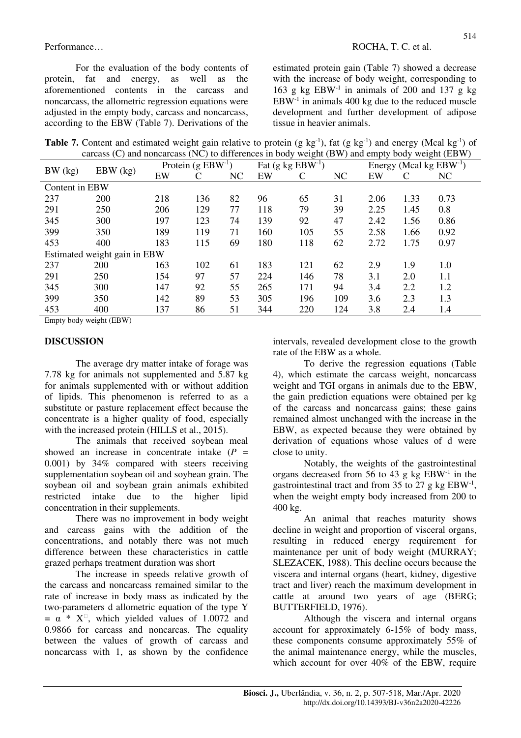Performance… ROCHA, T. C. et al.

For the evaluation of the body contents of protein, fat and energy, as well as the aforementioned contents in the carcass and noncarcass, the allometric regression equations were adjusted in the empty body, carcass and noncarcass, according to the EBW (Table 7). Derivations of the estimated protein gain (Table 7) showed a decrease with the increase of body weight, corresponding to 163 g kg  $EBW<sup>-1</sup>$  in animals of 200 and 137 g kg  $EBW<sup>-1</sup>$  in animals 400 kg due to the reduced muscle development and further development of adipose tissue in heavier animals.

Table 7. Content and estimated weight gain relative to protein (g kg<sup>-1</sup>), fat (g kg<sup>-1</sup>) and energy (Mcal kg<sup>-1</sup>) of carcass (C) and noncarcass (NC) to differences in body weight (BW) and empty body weight (EBW)

| Protein $(g EBW^{-1})$<br>Fat $(g \ kg EBW^{-1})$<br>Energy (Mcal kg $EBW^{-1}$ )<br>$EBW$ (kg)<br>EW<br>NC<br>EW<br>NC<br>EW<br>C<br>C<br>$\mathsf{C}$<br>NC<br>Content in EBW<br>136<br>82<br>65<br>237<br>200<br>218<br>96<br>31<br>1.33<br>2.06<br>0.73<br>39<br>250<br>206<br>129<br>77<br>118<br>79<br>291<br>2.25<br>1.45<br>0.8<br>197<br>139<br>47<br>345<br>300<br>123<br>74<br>92<br>2.42<br>1.56<br>0.86<br>399<br>189<br>350<br>119<br>71<br>160<br>55<br>0.92<br>105<br>2.58<br>1.66<br>183<br>180<br>453<br>400<br>115<br>69<br>118<br>62<br>2.72<br>1.75<br>0.97<br>Estimated weight gain in EBW<br>163<br>102<br>237<br>200<br>61<br>183<br>62<br>1.9<br>121<br>2.9<br>1.0<br>57<br>250<br>154<br>97<br>224<br>78<br>291<br>146<br>3.1<br>2.0<br>1.1<br>55<br>345<br>300<br>147<br>92<br>265<br>171<br>94<br>3.4<br>1.2<br>2.2<br>399<br>350<br>142<br>89<br>53<br>305<br>196<br>2.3<br>109<br>3.6<br>1.3<br>453<br>137<br>51<br>400<br>86<br>220<br>124<br>3.8<br>2.4<br>344<br>1.4 | $\alpha$ can be $\alpha$ and $\alpha$ is the case $(1\sqrt{2})$ to difference in bour<br>$mg_{\mu}$ ( $D_{\mu}$ ) and empty body<br>$\mathbf{v}$ |  |  |  |  |  |  |  |  |  |  |  |
|-------------------------------------------------------------------------------------------------------------------------------------------------------------------------------------------------------------------------------------------------------------------------------------------------------------------------------------------------------------------------------------------------------------------------------------------------------------------------------------------------------------------------------------------------------------------------------------------------------------------------------------------------------------------------------------------------------------------------------------------------------------------------------------------------------------------------------------------------------------------------------------------------------------------------------------------------------------------------------------------------------|--------------------------------------------------------------------------------------------------------------------------------------------------|--|--|--|--|--|--|--|--|--|--|--|
|                                                                                                                                                                                                                                                                                                                                                                                                                                                                                                                                                                                                                                                                                                                                                                                                                                                                                                                                                                                                       | BW (kg)                                                                                                                                          |  |  |  |  |  |  |  |  |  |  |  |
|                                                                                                                                                                                                                                                                                                                                                                                                                                                                                                                                                                                                                                                                                                                                                                                                                                                                                                                                                                                                       |                                                                                                                                                  |  |  |  |  |  |  |  |  |  |  |  |
|                                                                                                                                                                                                                                                                                                                                                                                                                                                                                                                                                                                                                                                                                                                                                                                                                                                                                                                                                                                                       |                                                                                                                                                  |  |  |  |  |  |  |  |  |  |  |  |
|                                                                                                                                                                                                                                                                                                                                                                                                                                                                                                                                                                                                                                                                                                                                                                                                                                                                                                                                                                                                       |                                                                                                                                                  |  |  |  |  |  |  |  |  |  |  |  |
|                                                                                                                                                                                                                                                                                                                                                                                                                                                                                                                                                                                                                                                                                                                                                                                                                                                                                                                                                                                                       |                                                                                                                                                  |  |  |  |  |  |  |  |  |  |  |  |
|                                                                                                                                                                                                                                                                                                                                                                                                                                                                                                                                                                                                                                                                                                                                                                                                                                                                                                                                                                                                       |                                                                                                                                                  |  |  |  |  |  |  |  |  |  |  |  |
|                                                                                                                                                                                                                                                                                                                                                                                                                                                                                                                                                                                                                                                                                                                                                                                                                                                                                                                                                                                                       |                                                                                                                                                  |  |  |  |  |  |  |  |  |  |  |  |
|                                                                                                                                                                                                                                                                                                                                                                                                                                                                                                                                                                                                                                                                                                                                                                                                                                                                                                                                                                                                       |                                                                                                                                                  |  |  |  |  |  |  |  |  |  |  |  |
|                                                                                                                                                                                                                                                                                                                                                                                                                                                                                                                                                                                                                                                                                                                                                                                                                                                                                                                                                                                                       |                                                                                                                                                  |  |  |  |  |  |  |  |  |  |  |  |
|                                                                                                                                                                                                                                                                                                                                                                                                                                                                                                                                                                                                                                                                                                                                                                                                                                                                                                                                                                                                       |                                                                                                                                                  |  |  |  |  |  |  |  |  |  |  |  |
|                                                                                                                                                                                                                                                                                                                                                                                                                                                                                                                                                                                                                                                                                                                                                                                                                                                                                                                                                                                                       |                                                                                                                                                  |  |  |  |  |  |  |  |  |  |  |  |
|                                                                                                                                                                                                                                                                                                                                                                                                                                                                                                                                                                                                                                                                                                                                                                                                                                                                                                                                                                                                       |                                                                                                                                                  |  |  |  |  |  |  |  |  |  |  |  |
|                                                                                                                                                                                                                                                                                                                                                                                                                                                                                                                                                                                                                                                                                                                                                                                                                                                                                                                                                                                                       |                                                                                                                                                  |  |  |  |  |  |  |  |  |  |  |  |
|                                                                                                                                                                                                                                                                                                                                                                                                                                                                                                                                                                                                                                                                                                                                                                                                                                                                                                                                                                                                       |                                                                                                                                                  |  |  |  |  |  |  |  |  |  |  |  |

Empty body weight (EBW)

### **DISCUSSION**

The average dry matter intake of forage was 7.78 kg for animals not supplemented and 5.87 kg for animals supplemented with or without addition of lipids. This phenomenon is referred to as a substitute or pasture replacement effect because the concentrate is a higher quality of food, especially with the increased protein (HILLS et al., 2015).

The animals that received soybean meal showed an increase in concentrate intake  $(P =$ 0.001) by 34% compared with steers receiving supplementation soybean oil and soybean grain. The soybean oil and soybean grain animals exhibited restricted intake due to the higher lipid concentration in their supplements.

There was no improvement in body weight and carcass gains with the addition of the concentrations, and notably there was not much difference between these characteristics in cattle grazed perhaps treatment duration was short

The increase in speeds relative growth of the carcass and noncarcass remained similar to the rate of increase in body mass as indicated by the two-parameters d allometric equation of the type Y  $= \alpha * X^{\square}$ , which yielded values of 1.0072 and 0.9866 for carcass and noncarcas. The equality between the values of growth of carcass and noncarcass with 1, as shown by the confidence

intervals, revealed development close to the growth rate of the EBW as a whole.

To derive the regression equations (Table 4), which estimate the carcass weight, noncarcass weight and TGI organs in animals due to the EBW, the gain prediction equations were obtained per kg of the carcass and noncarcass gains; these gains remained almost unchanged with the increase in the EBW, as expected because they were obtained by derivation of equations whose values of d were close to unity.

Notably, the weights of the gastrointestinal organs decreased from 56 to 43 g kg EBW-1 in the gastrointestinal tract and from 35 to 27 g kg  $EBW^{-1}$ , when the weight empty body increased from 200 to 400 kg.

An animal that reaches maturity shows decline in weight and proportion of visceral organs, resulting in reduced energy requirement for maintenance per unit of body weight (MURRAY; SLEZACEK, 1988). This decline occurs because the viscera and internal organs (heart, kidney, digestive tract and liver) reach the maximum development in cattle at around two years of age (BERG; BUTTERFIELD, 1976).

Although the viscera and internal organs account for approximately 6-15% of body mass, these components consume approximately 55% of the animal maintenance energy, while the muscles, which account for over 40% of the EBW, require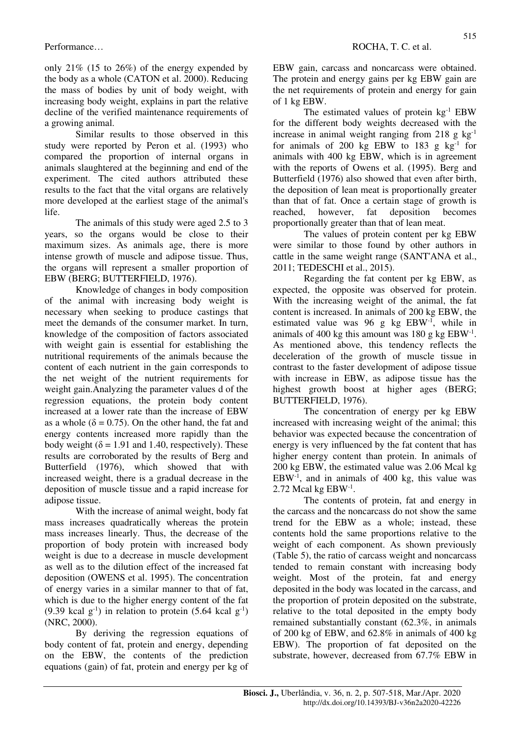only 21% (15 to 26%) of the energy expended by the body as a whole (CATON et al. 2000). Reducing the mass of bodies by unit of body weight, with increasing body weight, explains in part the relative decline of the verified maintenance requirements of a growing animal.

Similar results to those observed in this study were reported by Peron et al. (1993) who compared the proportion of internal organs in animals slaughtered at the beginning and end of the experiment. The cited authors attributed these results to the fact that the vital organs are relatively more developed at the earliest stage of the animal's life.

The animals of this study were aged 2.5 to 3 years, so the organs would be close to their maximum sizes. As animals age, there is more intense growth of muscle and adipose tissue. Thus, the organs will represent a smaller proportion of EBW (BERG; BUTTERFIELD, 1976).

Knowledge of changes in body composition of the animal with increasing body weight is necessary when seeking to produce castings that meet the demands of the consumer market. In turn, knowledge of the composition of factors associated with weight gain is essential for establishing the nutritional requirements of the animals because the content of each nutrient in the gain corresponds to the net weight of the nutrient requirements for weight gain.Analyzing the parameter values d of the regression equations, the protein body content increased at a lower rate than the increase of EBW as a whole ( $\delta = 0.75$ ). On the other hand, the fat and energy contents increased more rapidly than the body weight ( $\delta$  = 1.91 and 1.40, respectively). These results are corroborated by the results of Berg and Butterfield (1976), which showed that with increased weight, there is a gradual decrease in the deposition of muscle tissue and a rapid increase for adipose tissue.

With the increase of animal weight, body fat mass increases quadratically whereas the protein mass increases linearly. Thus, the decrease of the proportion of body protein with increased body weight is due to a decrease in muscle development as well as to the dilution effect of the increased fat deposition (OWENS et al. 1995). The concentration of energy varies in a similar manner to that of fat, which is due to the higher energy content of the fat (9.39 kcal  $g^{-1}$ ) in relation to protein (5.64 kcal  $g^{-1}$ ) (NRC, 2000).

By deriving the regression equations of body content of fat, protein and energy, depending on the EBW, the contents of the prediction equations (gain) of fat, protein and energy per kg of EBW gain, carcass and noncarcass were obtained. The protein and energy gains per kg EBW gain are the net requirements of protein and energy for gain of 1 kg EBW.

The estimated values of protein  $kg^{-1}$  EBW for the different body weights decreased with the increase in animal weight ranging from 218 g  $kg^{-1}$ for animals of 200 kg EBW to 183 g  $kg^{-1}$  for animals with 400 kg EBW, which is in agreement with the reports of Owens et al. (1995). Berg and Butterfield (1976) also showed that even after birth, the deposition of lean meat is proportionally greater than that of fat. Once a certain stage of growth is reached, however, fat deposition becomes proportionally greater than that of lean meat.

The values of protein content per kg EBW were similar to those found by other authors in cattle in the same weight range (SANT'ANA et al., 2011; TEDESCHI et al., 2015).

Regarding the fat content per kg EBW, as expected, the opposite was observed for protein. With the increasing weight of the animal, the fat content is increased. In animals of 200 kg EBW, the estimated value was 96 g kg EBW-1, while in animals of 400 kg this amount was  $180 \text{ g kg }$  EBW<sup>-1</sup>. As mentioned above, this tendency reflects the deceleration of the growth of muscle tissue in contrast to the faster development of adipose tissue with increase in EBW, as adipose tissue has the highest growth boost at higher ages (BERG; BUTTERFIELD, 1976).

The concentration of energy per kg EBW increased with increasing weight of the animal; this behavior was expected because the concentration of energy is very influenced by the fat content that has higher energy content than protein. In animals of 200 kg EBW, the estimated value was 2.06 Mcal kg  $EBW<sup>-1</sup>$ , and in animals of 400 kg, this value was  $2.72$  Mcal kg EBW $^{-1}$ .

The contents of protein, fat and energy in the carcass and the noncarcass do not show the same trend for the EBW as a whole; instead, these contents hold the same proportions relative to the weight of each component. As shown previously (Table 5), the ratio of carcass weight and noncarcass tended to remain constant with increasing body weight. Most of the protein, fat and energy deposited in the body was located in the carcass, and the proportion of protein deposited on the substrate, relative to the total deposited in the empty body remained substantially constant (62.3%, in animals of 200 kg of EBW, and 62.8% in animals of 400 kg EBW). The proportion of fat deposited on the substrate, however, decreased from 67.7% EBW in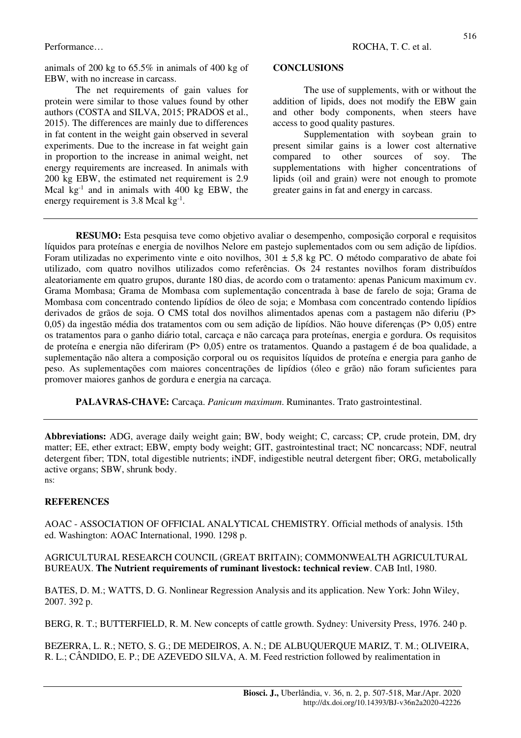animals of 200 kg to 65.5% in animals of 400 kg of EBW, with no increase in carcass.

The net requirements of gain values for protein were similar to those values found by other authors (COSTA and SILVA, 2015; PRADOS et al., 2015). The differences are mainly due to differences in fat content in the weight gain observed in several experiments. Due to the increase in fat weight gain in proportion to the increase in animal weight, net energy requirements are increased. In animals with 200 kg EBW, the estimated net requirement is 2.9 Mcal kg $^{-1}$  and in animals with 400 kg EBW, the energy requirement is  $3.8$  Mcal kg<sup>-1</sup>.

#### **CONCLUSIONS**

The use of supplements, with or without the addition of lipids, does not modify the EBW gain and other body components, when steers have access to good quality pastures.

Supplementation with soybean grain to present similar gains is a lower cost alternative compared to other sources of soy. The supplementations with higher concentrations of lipids (oil and grain) were not enough to promote greater gains in fat and energy in carcass.

**RESUMO:** Esta pesquisa teve como objetivo avaliar o desempenho, composição corporal e requisitos líquidos para proteínas e energia de novilhos Nelore em pastejo suplementados com ou sem adição de lipídios. Foram utilizadas no experimento vinte e oito novilhos,  $301 \pm 5.8$  kg PC. O método comparativo de abate foi utilizado, com quatro novilhos utilizados como referências. Os 24 restantes novilhos foram distribuídos aleatoriamente em quatro grupos, durante 180 dias, de acordo com o tratamento: apenas Panicum maximum cv. Grama Mombasa; Grama de Mombasa com suplementação concentrada à base de farelo de soja; Grama de Mombasa com concentrado contendo lipídios de óleo de soja; e Mombasa com concentrado contendo lipídios derivados de grãos de soja. O CMS total dos novilhos alimentados apenas com a pastagem não diferiu (P> 0,05) da ingestão média dos tratamentos com ou sem adição de lipídios. Não houve diferenças (P> 0,05) entre os tratamentos para o ganho diário total, carcaça e não carcaça para proteínas, energia e gordura. Os requisitos de proteína e energia não diferiram (P> 0,05) entre os tratamentos. Quando a pastagem é de boa qualidade, a suplementação não altera a composição corporal ou os requisitos líquidos de proteína e energia para ganho de peso. As suplementações com maiores concentrações de lipídios (óleo e grão) não foram suficientes para promover maiores ganhos de gordura e energia na carcaça.

**PALAVRAS-CHAVE:** Carcaça. *Panicum maximum*. Ruminantes. Trato gastrointestinal.

**Abbreviations:** ADG, average daily weight gain; BW, body weight; C, carcass; CP, crude protein, DM, dry matter; EE, ether extract; EBW, empty body weight; GIT, gastrointestinal tract; NC noncarcass; NDF, neutral detergent fiber; TDN, total digestible nutrients; iNDF, indigestible neutral detergent fiber; ORG, metabolically active organs; SBW, shrunk body. ns:

### **REFERENCES**

AOAC - ASSOCIATION OF OFFICIAL ANALYTICAL CHEMISTRY. Official methods of analysis. 15th ed. Washington: AOAC International, 1990. 1298 p.

### AGRICULTURAL RESEARCH COUNCIL (GREAT BRITAIN); COMMONWEALTH AGRICULTURAL BUREAUX. **The Nutrient requirements of ruminant livestock: technical review**. CAB Intl, 1980.

BATES, D. M.; WATTS, D. G. Nonlinear Regression Analysis and its application. New York: John Wiley, 2007. 392 p.

BERG, R. T.; BUTTERFIELD, R. M. New concepts of cattle growth. Sydney: University Press, 1976. 240 p.

BEZERRA, L. R.; NETO, S. G.; DE MEDEIROS, A. N.; DE ALBUQUERQUE MARIZ, T. M.; OLIVEIRA, R. L.; CÂNDIDO, E. P.; DE AZEVEDO SILVA, A. M. Feed restriction followed by realimentation in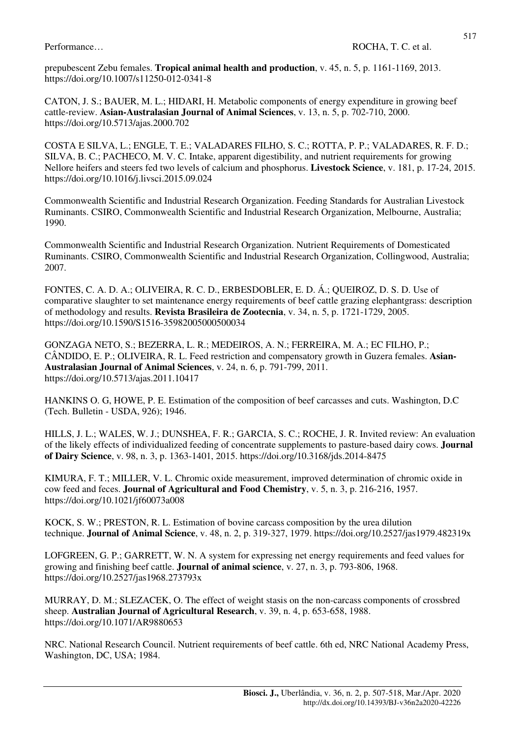prepubescent Zebu females. **Tropical animal health and production**, v. 45, n. 5, p. 1161-1169, 2013. https://doi.org/10.1007/s11250-012-0341-8

CATON, J. S.; BAUER, M. L.; HIDARI, H. Metabolic components of energy expenditure in growing beef cattle-review. **Asian-Australasian Journal of Animal Sciences**, v. 13, n. 5, p. 702-710, 2000. https://doi.org/10.5713/ajas.2000.702

COSTA E SILVA, L.; ENGLE, T. E.; VALADARES FILHO, S. C.; ROTTA, P. P.; VALADARES, R. F. D.; SILVA, B. C.; PACHECO, M. V. C. Intake, apparent digestibility, and nutrient requirements for growing Nellore heifers and steers fed two levels of calcium and phosphorus. **Livestock Science**, v. 181, p. 17-24, 2015. https://doi.org/10.1016/j.livsci.2015.09.024

Commonwealth Scientific and Industrial Research Organization. Feeding Standards for Australian Livestock Ruminants. CSIRO, Commonwealth Scientific and Industrial Research Organization, Melbourne, Australia; 1990.

Commonwealth Scientific and Industrial Research Organization. Nutrient Requirements of Domesticated Ruminants. CSIRO, Commonwealth Scientific and Industrial Research Organization, Collingwood, Australia; 2007.

FONTES, C. A. D. A.; OLIVEIRA, R. C. D., ERBESDOBLER, E. D. Á.; QUEIROZ, D. S. D. Use of comparative slaughter to set maintenance energy requirements of beef cattle grazing elephantgrass: description of methodology and results. **Revista Brasileira de Zootecnia**, v. 34, n. 5, p. 1721-1729, 2005. https://doi.org/10.1590/S1516-35982005000500034

GONZAGA NETO, S.; BEZERRA, L. R.; MEDEIROS, A. N.; FERREIRA, M. A.; EC FILHO, P.; CÂNDIDO, E. P.; OLIVEIRA, R. L. Feed restriction and compensatory growth in Guzera females. **Asian-Australasian Journal of Animal Sciences**, v. 24, n. 6, p. 791-799, 2011. https://doi.org/10.5713/ajas.2011.10417

HANKINS O. G, HOWE, P. E. Estimation of the composition of beef carcasses and cuts. Washington, D.C (Tech. Bulletin - USDA, 926); 1946.

HILLS, J. L.; WALES, W. J.; DUNSHEA, F. R.; GARCIA, S. C.; ROCHE, J. R. Invited review: An evaluation of the likely effects of individualized feeding of concentrate supplements to pasture-based dairy cows. **Journal of Dairy Science**, v. 98, n. 3, p. 1363-1401, 2015. https://doi.org/10.3168/jds.2014-8475

KIMURA, F. T.; MILLER, V. L. Chromic oxide measurement, improved determination of chromic oxide in cow feed and feces. **Journal of Agricultural and Food Chemistry**, v. 5, n. 3, p. 216-216, 1957. https://doi.org/10.1021/jf60073a008

KOCK, S. W.; PRESTON, R. L. Estimation of bovine carcass composition by the urea dilution technique. **Journal of Animal Science**, v. 48, n. 2, p. 319-327, 1979. https://doi.org/10.2527/jas1979.482319x

LOFGREEN, G. P.; GARRETT, W. N. A system for expressing net energy requirements and feed values for growing and finishing beef cattle. **Journal of animal science**, v. 27, n. 3, p. 793-806, 1968. https://doi.org/10.2527/jas1968.273793x

MURRAY, D. M.; SLEZACEK, O. The effect of weight stasis on the non-carcass components of crossbred sheep. **Australian Journal of Agricultural Research**, v. 39, n. 4, p. 653-658, 1988. https://doi.org/10.1071/AR9880653

NRC. National Research Council. Nutrient requirements of beef cattle. 6th ed, NRC National Academy Press, Washington, DC, USA; 1984.